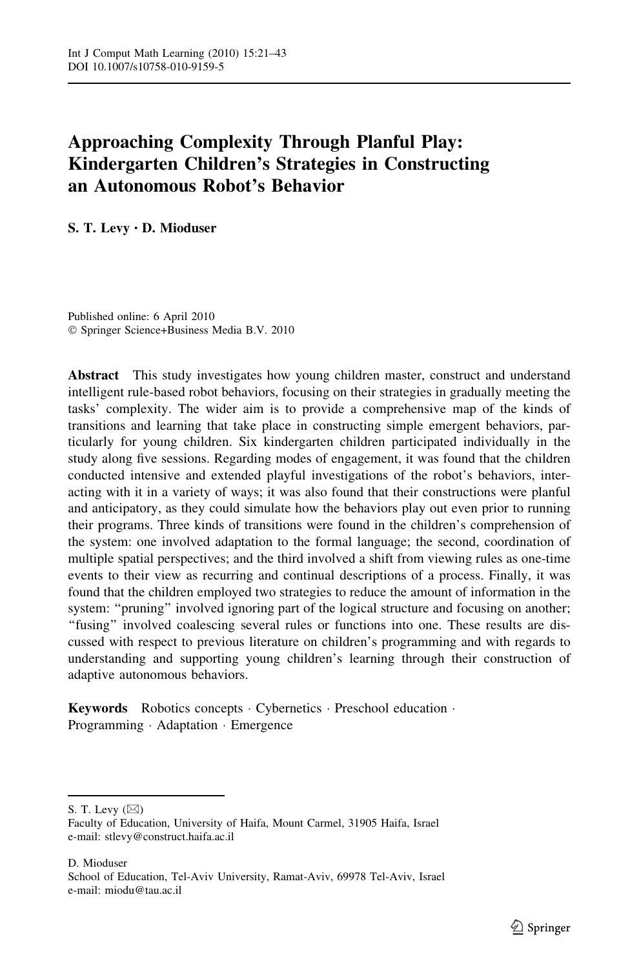# Approaching Complexity Through Planful Play: Kindergarten Children's Strategies in Constructing an Autonomous Robot's Behavior

S. T. Levy • D. Mioduser

Published online: 6 April 2010 - Springer Science+Business Media B.V. 2010

Abstract This study investigates how young children master, construct and understand intelligent rule-based robot behaviors, focusing on their strategies in gradually meeting the tasks' complexity. The wider aim is to provide a comprehensive map of the kinds of transitions and learning that take place in constructing simple emergent behaviors, particularly for young children. Six kindergarten children participated individually in the study along five sessions. Regarding modes of engagement, it was found that the children conducted intensive and extended playful investigations of the robot's behaviors, interacting with it in a variety of ways; it was also found that their constructions were planful and anticipatory, as they could simulate how the behaviors play out even prior to running their programs. Three kinds of transitions were found in the children's comprehension of the system: one involved adaptation to the formal language; the second, coordination of multiple spatial perspectives; and the third involved a shift from viewing rules as one-time events to their view as recurring and continual descriptions of a process. Finally, it was found that the children employed two strategies to reduce the amount of information in the system: "pruning" involved ignoring part of the logical structure and focusing on another; "fusing" involved coalescing several rules or functions into one. These results are discussed with respect to previous literature on children's programming and with regards to understanding and supporting young children's learning through their construction of adaptive autonomous behaviors.

Keywords Robotics concepts · Cybernetics · Preschool education · Programming · Adaptation · Emergence

D. Mioduser

S. T. Levy  $(\boxtimes)$ 

Faculty of Education, University of Haifa, Mount Carmel, 31905 Haifa, Israel e-mail: stlevy@construct.haifa.ac.il

School of Education, Tel-Aviv University, Ramat-Aviv, 69978 Tel-Aviv, Israel e-mail: miodu@tau.ac.il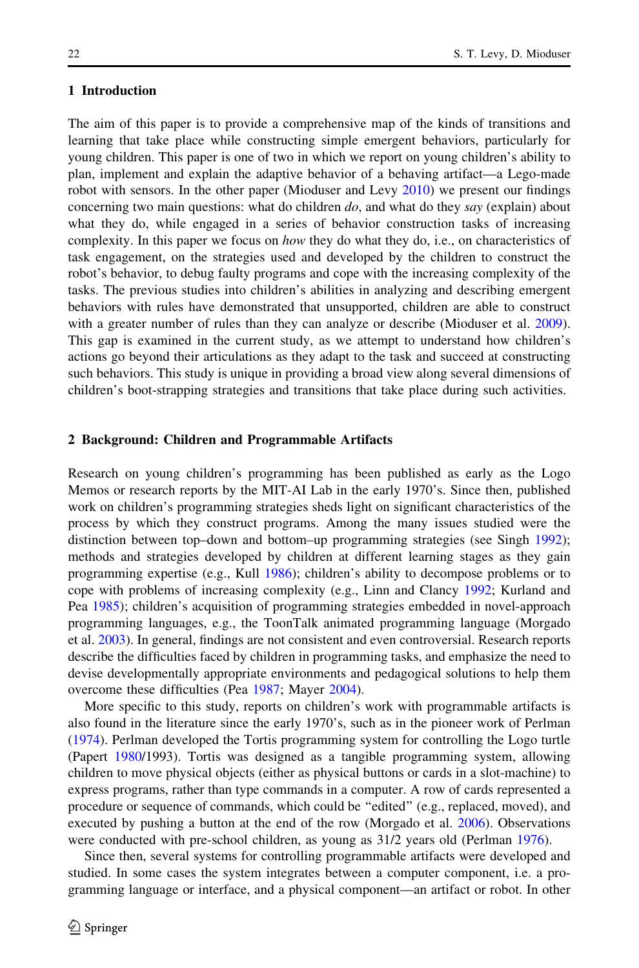#### 1 Introduction

The aim of this paper is to provide a comprehensive map of the kinds of transitions and learning that take place while constructing simple emergent behaviors, particularly for young children. This paper is one of two in which we report on young children's ability to plan, implement and explain the adaptive behavior of a behaving artifact—a Lego-made robot with sensors. In the other paper (Mioduser and Levy [2010\)](#page-22-0) we present our findings concerning two main questions: what do children  $do$ , and what do they  $say$  (explain) about what they do, while engaged in a series of behavior construction tasks of increasing complexity. In this paper we focus on *how* they do what they do, i.e., on characteristics of task engagement, on the strategies used and developed by the children to construct the robot's behavior, to debug faulty programs and cope with the increasing complexity of the tasks. The previous studies into children's abilities in analyzing and describing emergent behaviors with rules have demonstrated that unsupported, children are able to construct with a greater number of rules than they can analyze or describe (Mioduser et al. [2009](#page-22-0)). This gap is examined in the current study, as we attempt to understand how children's actions go beyond their articulations as they adapt to the task and succeed at constructing such behaviors. This study is unique in providing a broad view along several dimensions of children's boot-strapping strategies and transitions that take place during such activities.

#### 2 Background: Children and Programmable Artifacts

Research on young children's programming has been published as early as the Logo Memos or research reports by the MIT-AI Lab in the early 1970's. Since then, published work on children's programming strategies sheds light on significant characteristics of the process by which they construct programs. Among the many issues studied were the distinction between top–down and bottom–up programming strategies (see Singh [1992\)](#page-22-0); methods and strategies developed by children at different learning stages as they gain programming expertise (e.g., Kull [1986\)](#page-21-0); children's ability to decompose problems or to cope with problems of increasing complexity (e.g., Linn and Clancy [1992](#page-21-0); Kurland and Pea [1985](#page-21-0)); children's acquisition of programming strategies embedded in novel-approach programming languages, e.g., the ToonTalk animated programming language (Morgado et al. [2003\)](#page-22-0). In general, findings are not consistent and even controversial. Research reports describe the difficulties faced by children in programming tasks, and emphasize the need to devise developmentally appropriate environments and pedagogical solutions to help them overcome these difficulties (Pea [1987;](#page-22-0) Mayer [2004](#page-21-0)).

More specific to this study, reports on children's work with programmable artifacts is also found in the literature since the early 1970's, such as in the pioneer work of Perlman ([1974\)](#page-22-0). Perlman developed the Tortis programming system for controlling the Logo turtle (Papert [1980/](#page-22-0)1993). Tortis was designed as a tangible programming system, allowing children to move physical objects (either as physical buttons or cards in a slot-machine) to express programs, rather than type commands in a computer. A row of cards represented a procedure or sequence of commands, which could be ''edited'' (e.g., replaced, moved), and executed by pushing a button at the end of the row (Morgado et al. [2006\)](#page-22-0). Observations were conducted with pre-school children, as young as 31/2 years old (Perlman [1976\)](#page-22-0).

Since then, several systems for controlling programmable artifacts were developed and studied. In some cases the system integrates between a computer component, i.e. a programming language or interface, and a physical component—an artifact or robot. In other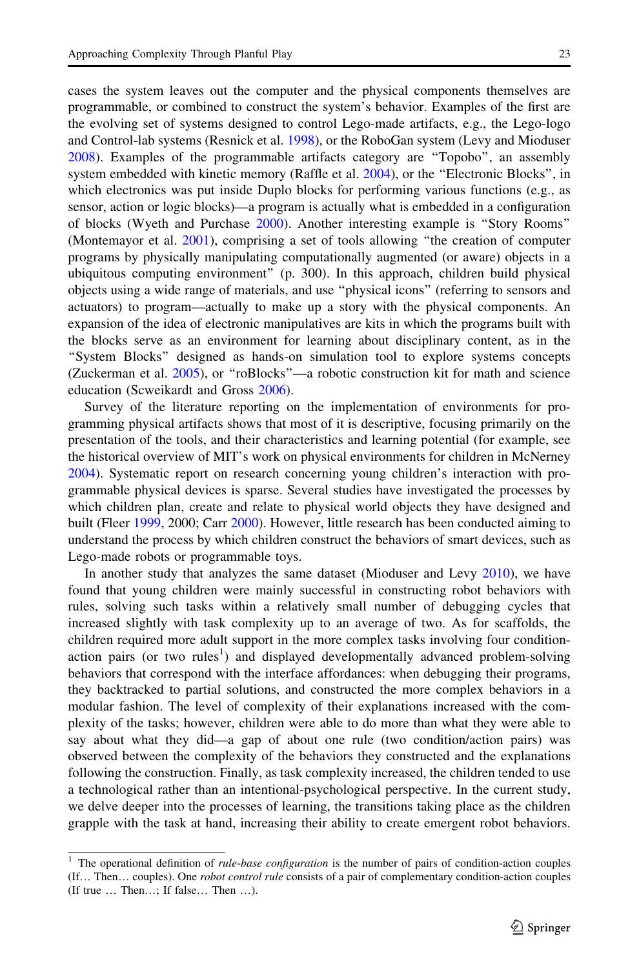cases the system leaves out the computer and the physical components themselves are programmable, or combined to construct the system's behavior. Examples of the first are the evolving set of systems designed to control Lego-made artifacts, e.g., the Lego-logo and Control-lab systems (Resnick et al. [1998\)](#page-22-0), or the RoboGan system (Levy and Mioduser [2008\)](#page-21-0). Examples of the programmable artifacts category are ''Topobo'', an assembly system embedded with kinetic memory (Raffle et al. [2004\)](#page-22-0), or the "Electronic Blocks", in which electronics was put inside Duplo blocks for performing various functions (e.g., as sensor, action or logic blocks)—a program is actually what is embedded in a configuration of blocks (Wyeth and Purchase [2000](#page-22-0)). Another interesting example is ''Story Rooms'' (Montemayor et al. [2001](#page-22-0)), comprising a set of tools allowing ''the creation of computer programs by physically manipulating computationally augmented (or aware) objects in a ubiquitous computing environment'' (p. 300). In this approach, children build physical objects using a wide range of materials, and use ''physical icons'' (referring to sensors and actuators) to program—actually to make up a story with the physical components. An expansion of the idea of electronic manipulatives are kits in which the programs built with the blocks serve as an environment for learning about disciplinary content, as in the ''System Blocks'' designed as hands-on simulation tool to explore systems concepts (Zuckerman et al. [2005\)](#page-22-0), or ''roBlocks''—a robotic construction kit for math and science education (Scweikardt and Gross [2006\)](#page-22-0).

Survey of the literature reporting on the implementation of environments for programming physical artifacts shows that most of it is descriptive, focusing primarily on the presentation of the tools, and their characteristics and learning potential (for example, see the historical overview of MIT's work on physical environments for children in McNerney [2004\)](#page-22-0). Systematic report on research concerning young children's interaction with programmable physical devices is sparse. Several studies have investigated the processes by which children plan, create and relate to physical world objects they have designed and built (Fleer [1999,](#page-21-0) 2000; Carr [2000\)](#page-21-0). However, little research has been conducted aiming to understand the process by which children construct the behaviors of smart devices, such as Lego-made robots or programmable toys.

In another study that analyzes the same dataset (Mioduser and Levy [2010\)](#page-22-0), we have found that young children were mainly successful in constructing robot behaviors with rules, solving such tasks within a relatively small number of debugging cycles that increased slightly with task complexity up to an average of two. As for scaffolds, the children required more adult support in the more complex tasks involving four conditionaction pairs (or two rules<sup>1</sup>) and displayed developmentally advanced problem-solving behaviors that correspond with the interface affordances: when debugging their programs, they backtracked to partial solutions, and constructed the more complex behaviors in a modular fashion. The level of complexity of their explanations increased with the complexity of the tasks; however, children were able to do more than what they were able to say about what they did—a gap of about one rule (two condition/action pairs) was observed between the complexity of the behaviors they constructed and the explanations following the construction. Finally, as task complexity increased, the children tended to use a technological rather than an intentional-psychological perspective. In the current study, we delve deeper into the processes of learning, the transitions taking place as the children grapple with the task at hand, increasing their ability to create emergent robot behaviors.

 $1$  The operational definition of *rule-base configuration* is the number of pairs of condition-action couples (If… Then… couples). One robot control rule consists of a pair of complementary condition-action couples (If true … Then…; If false… Then …).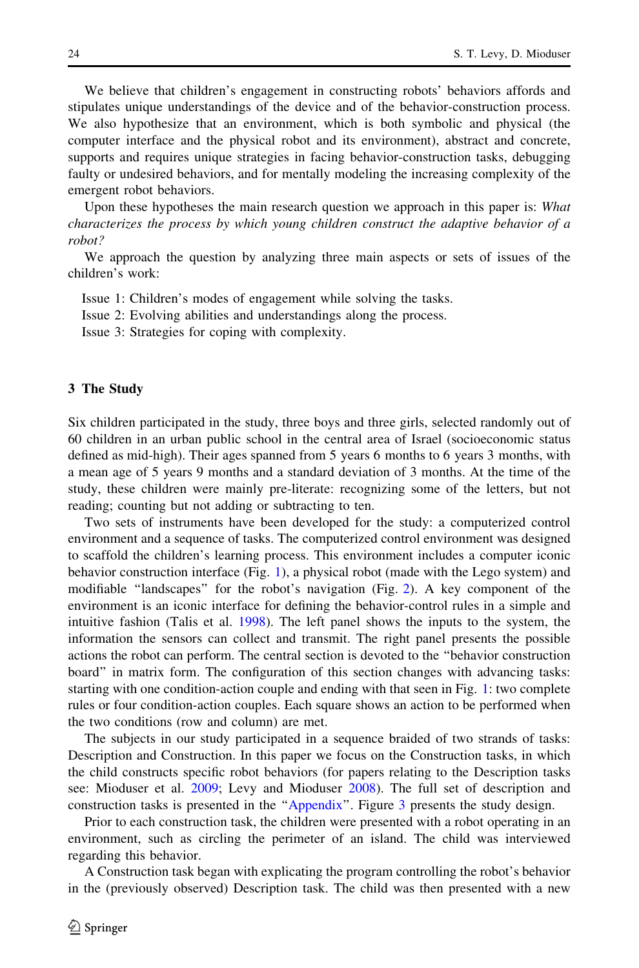We believe that children's engagement in constructing robots' behaviors affords and stipulates unique understandings of the device and of the behavior-construction process. We also hypothesize that an environment, which is both symbolic and physical (the computer interface and the physical robot and its environment), abstract and concrete, supports and requires unique strategies in facing behavior-construction tasks, debugging faulty or undesired behaviors, and for mentally modeling the increasing complexity of the emergent robot behaviors.

Upon these hypotheses the main research question we approach in this paper is: What characterizes the process by which young children construct the adaptive behavior of a robot?

We approach the question by analyzing three main aspects or sets of issues of the children's work:

Issue 1: Children's modes of engagement while solving the tasks.

Issue 2: Evolving abilities and understandings along the process.

Issue 3: Strategies for coping with complexity.

## 3 The Study

Six children participated in the study, three boys and three girls, selected randomly out of 60 children in an urban public school in the central area of Israel (socioeconomic status defined as mid-high). Their ages spanned from 5 years 6 months to 6 years 3 months, with a mean age of 5 years 9 months and a standard deviation of 3 months. At the time of the study, these children were mainly pre-literate: recognizing some of the letters, but not reading; counting but not adding or subtracting to ten.

Two sets of instruments have been developed for the study: a computerized control environment and a sequence of tasks. The computerized control environment was designed to scaffold the children's learning process. This environment includes a computer iconic behavior construction interface (Fig. [1\)](#page-4-0), a physical robot (made with the Lego system) and modifiable ''landscapes'' for the robot's navigation (Fig. [2\)](#page-4-0). A key component of the environment is an iconic interface for defining the behavior-control rules in a simple and intuitive fashion (Talis et al. [1998\)](#page-22-0). The left panel shows the inputs to the system, the information the sensors can collect and transmit. The right panel presents the possible actions the robot can perform. The central section is devoted to the ''behavior construction board'' in matrix form. The configuration of this section changes with advancing tasks: starting with one condition-action couple and ending with that seen in Fig. [1](#page-4-0): two complete rules or four condition-action couples. Each square shows an action to be performed when the two conditions (row and column) are met.

The subjects in our study participated in a sequence braided of two strands of tasks: Description and Construction. In this paper we focus on the Construction tasks, in which the child constructs specific robot behaviors (for papers relating to the Description tasks see: Mioduser et al. [2009](#page-22-0); Levy and Mioduser [2008\)](#page-21-0). The full set of description and construction tasks is presented in the '['Appendix'](#page-19-0)'. Figure [3](#page-5-0) presents the study design.

Prior to each construction task, the children were presented with a robot operating in an environment, such as circling the perimeter of an island. The child was interviewed regarding this behavior.

A Construction task began with explicating the program controlling the robot's behavior in the (previously observed) Description task. The child was then presented with a new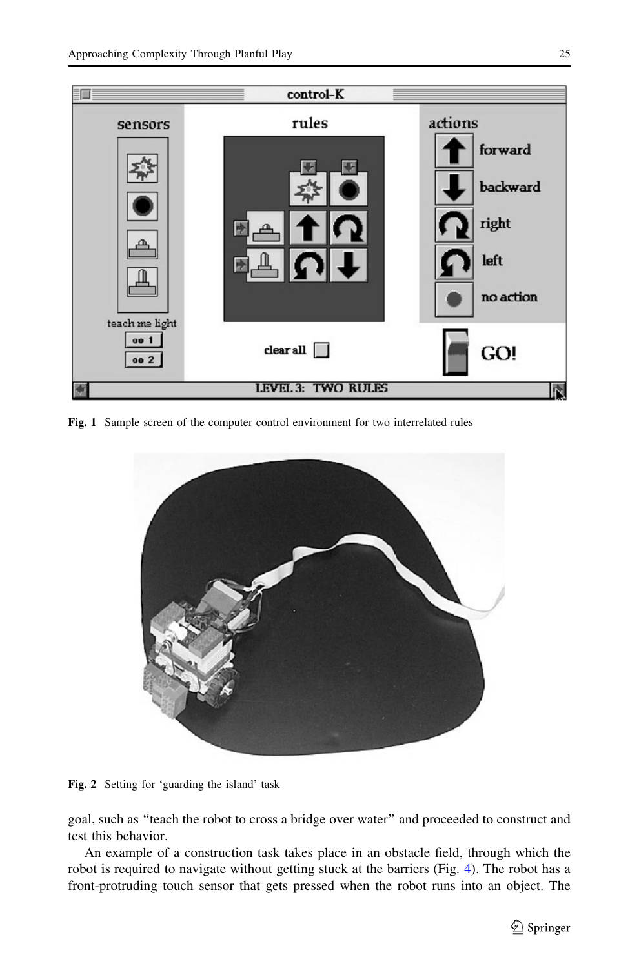<span id="page-4-0"></span>

Fig. 1 Sample screen of the computer control environment for two interrelated rules



Fig. 2 Setting for 'guarding the island' task

goal, such as ''teach the robot to cross a bridge over water'' and proceeded to construct and test this behavior.

An example of a construction task takes place in an obstacle field, through which the robot is required to navigate without getting stuck at the barriers (Fig. [4](#page-5-0)). The robot has a front-protruding touch sensor that gets pressed when the robot runs into an object. The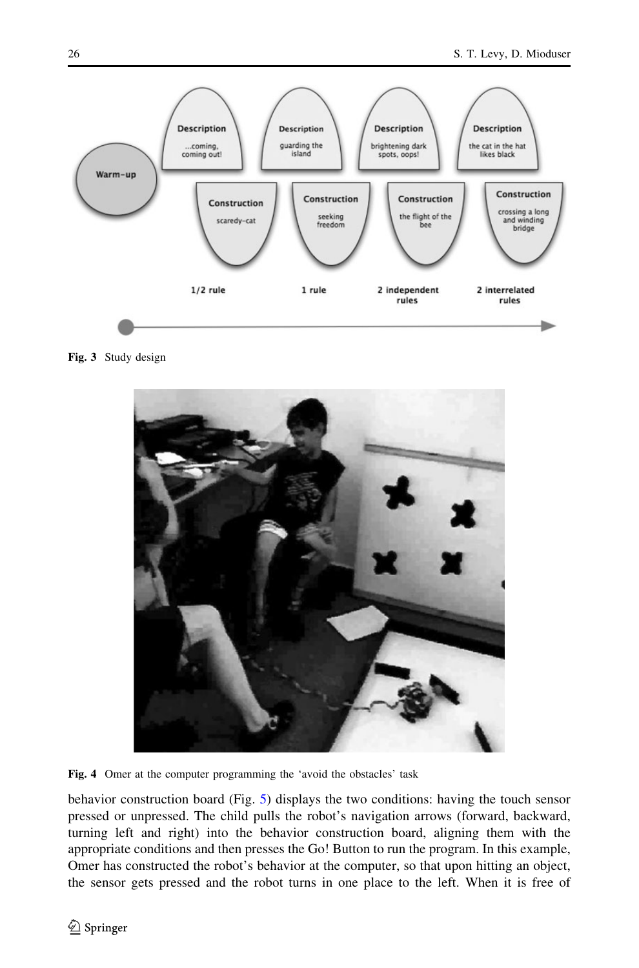<span id="page-5-0"></span>

Fig. 3 Study design



Fig. 4 Omer at the computer programming the 'avoid the obstacles' task

behavior construction board (Fig. [5\)](#page-6-0) displays the two conditions: having the touch sensor pressed or unpressed. The child pulls the robot's navigation arrows (forward, backward, turning left and right) into the behavior construction board, aligning them with the appropriate conditions and then presses the Go! Button to run the program. In this example, Omer has constructed the robot's behavior at the computer, so that upon hitting an object, the sensor gets pressed and the robot turns in one place to the left. When it is free of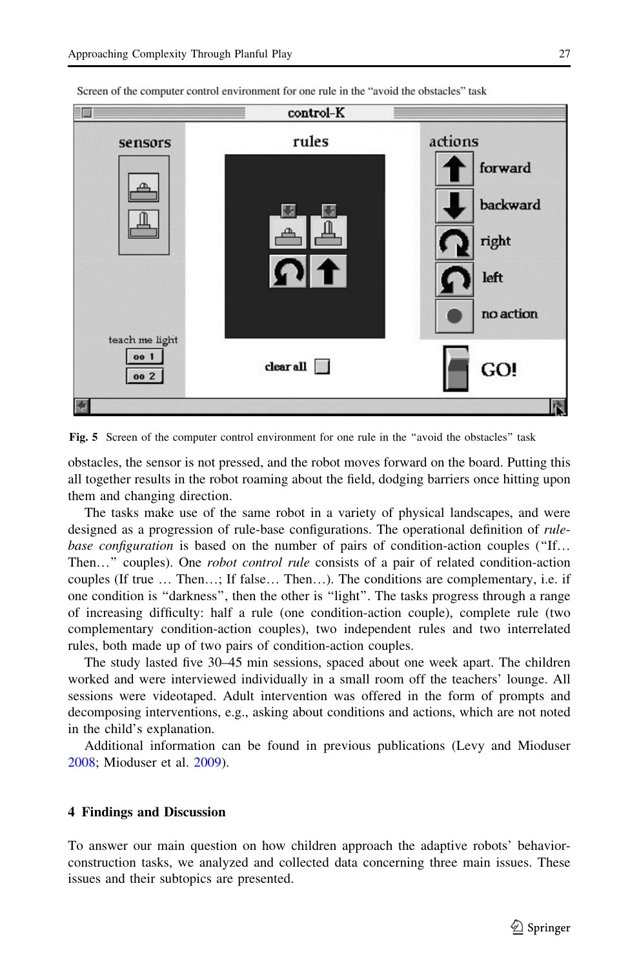

<span id="page-6-0"></span>Screen of the computer control environment for one rule in the "avoid the obstacles" task

Fig. 5 Screen of the computer control environment for one rule in the "avoid the obstacles" task

obstacles, the sensor is not pressed, and the robot moves forward on the board. Putting this all together results in the robot roaming about the field, dodging barriers once hitting upon them and changing direction.

The tasks make use of the same robot in a variety of physical landscapes, and were designed as a progression of rule-base configurations. The operational definition of rulebase configuration is based on the number of pairs of condition-action couples ("If... Then..." couples). One *robot control rule* consists of a pair of related condition-action couples (If true … Then…; If false… Then…). The conditions are complementary, i.e. if one condition is ''darkness'', then the other is ''light''. The tasks progress through a range of increasing difficulty: half a rule (one condition-action couple), complete rule (two complementary condition-action couples), two independent rules and two interrelated rules, both made up of two pairs of condition-action couples.

The study lasted five 30–45 min sessions, spaced about one week apart. The children worked and were interviewed individually in a small room off the teachers' lounge. All sessions were videotaped. Adult intervention was offered in the form of prompts and decomposing interventions, e.g., asking about conditions and actions, which are not noted in the child's explanation.

Additional information can be found in previous publications (Levy and Mioduser [2008;](#page-21-0) Mioduser et al. [2009](#page-22-0)).

# 4 Findings and Discussion

To answer our main question on how children approach the adaptive robots' behaviorconstruction tasks, we analyzed and collected data concerning three main issues. These issues and their subtopics are presented.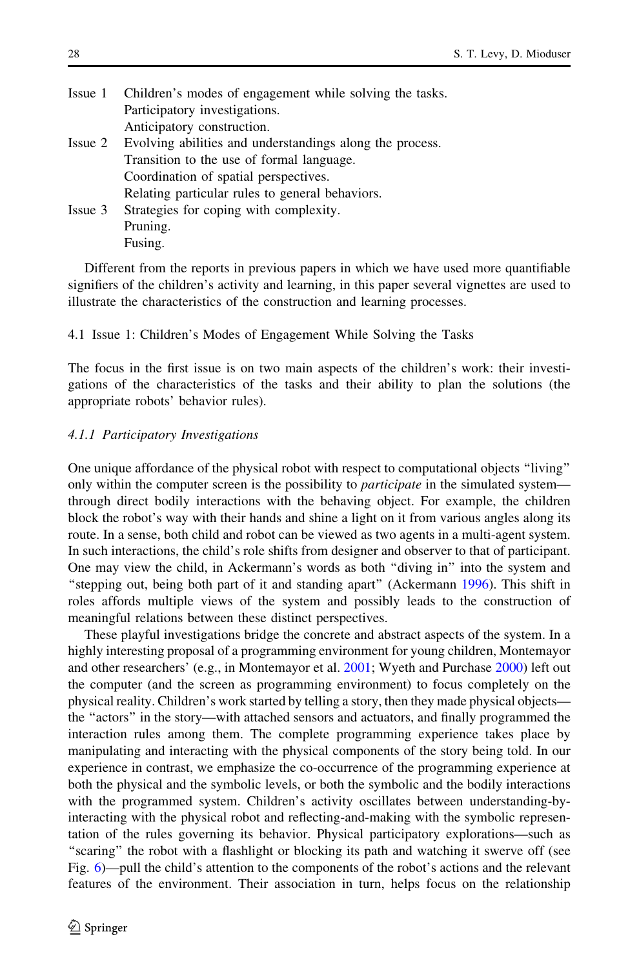| Issue 1 | Children's modes of engagement while solving the tasks.  |  |  |
|---------|----------------------------------------------------------|--|--|
|         | Participatory investigations.                            |  |  |
|         | Anticipatory construction.                               |  |  |
| Issue 2 | Evolving abilities and understandings along the process. |  |  |
|         | Transition to the use of formal language.                |  |  |
|         | Coordination of spatial perspectives.                    |  |  |
|         | Relating particular rules to general behaviors.          |  |  |
| Issue 3 | Strategies for coping with complexity.                   |  |  |
|         | Pruning.                                                 |  |  |
|         | Fusing.                                                  |  |  |

Different from the reports in previous papers in which we have used more quantifiable signifiers of the children's activity and learning, in this paper several vignettes are used to illustrate the characteristics of the construction and learning processes.

#### 4.1 Issue 1: Children's Modes of Engagement While Solving the Tasks

The focus in the first issue is on two main aspects of the children's work: their investigations of the characteristics of the tasks and their ability to plan the solutions (the appropriate robots' behavior rules).

#### 4.1.1 Participatory Investigations

One unique affordance of the physical robot with respect to computational objects ''living'' only within the computer screen is the possibility to *participate* in the simulated system through direct bodily interactions with the behaving object. For example, the children block the robot's way with their hands and shine a light on it from various angles along its route. In a sense, both child and robot can be viewed as two agents in a multi-agent system. In such interactions, the child's role shifts from designer and observer to that of participant. One may view the child, in Ackermann's words as both ''diving in'' into the system and "stepping out, being both part of it and standing apart" (Ackermann [1996](#page-21-0)). This shift in roles affords multiple views of the system and possibly leads to the construction of meaningful relations between these distinct perspectives.

These playful investigations bridge the concrete and abstract aspects of the system. In a highly interesting proposal of a programming environment for young children, Montemayor and other researchers' (e.g., in Montemayor et al. [2001;](#page-22-0) Wyeth and Purchase [2000\)](#page-22-0) left out the computer (and the screen as programming environment) to focus completely on the physical reality. Children's work started by telling a story, then they made physical objects the ''actors'' in the story—with attached sensors and actuators, and finally programmed the interaction rules among them. The complete programming experience takes place by manipulating and interacting with the physical components of the story being told. In our experience in contrast, we emphasize the co-occurrence of the programming experience at both the physical and the symbolic levels, or both the symbolic and the bodily interactions with the programmed system. Children's activity oscillates between understanding-byinteracting with the physical robot and reflecting-and-making with the symbolic representation of the rules governing its behavior. Physical participatory explorations—such as ''scaring'' the robot with a flashlight or blocking its path and watching it swerve off (see Fig. [6\)](#page-8-0)—pull the child's attention to the components of the robot's actions and the relevant features of the environment. Their association in turn, helps focus on the relationship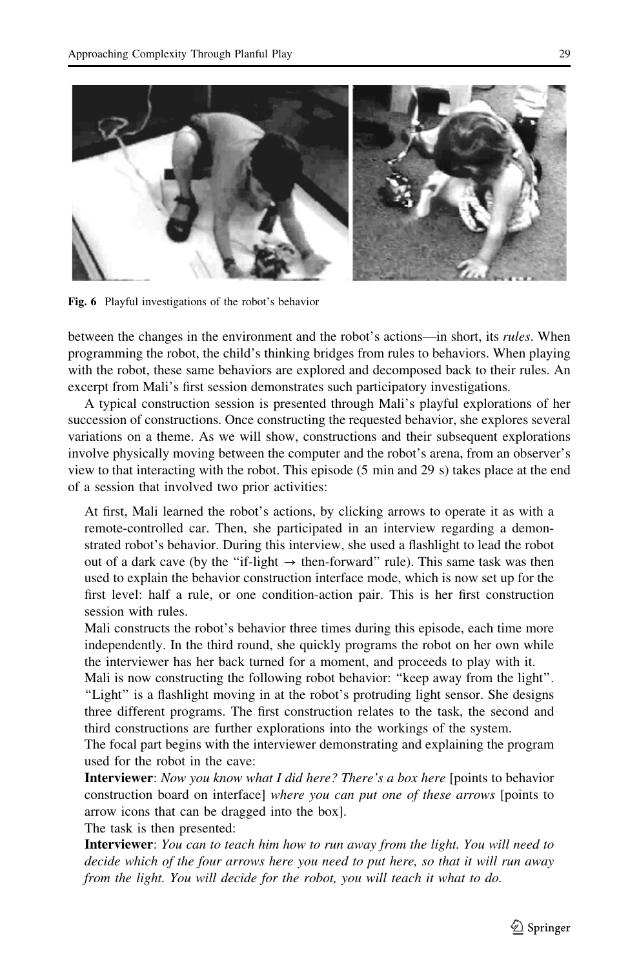<span id="page-8-0"></span>

Fig. 6 Playful investigations of the robot's behavior

between the changes in the environment and the robot's actions—in short, its rules. When programming the robot, the child's thinking bridges from rules to behaviors. When playing with the robot, these same behaviors are explored and decomposed back to their rules. An excerpt from Mali's first session demonstrates such participatory investigations.

A typical construction session is presented through Mali's playful explorations of her succession of constructions. Once constructing the requested behavior, she explores several variations on a theme. As we will show, constructions and their subsequent explorations involve physically moving between the computer and the robot's arena, from an observer's view to that interacting with the robot. This episode (5 min and 29 s) takes place at the end of a session that involved two prior activities:

At first, Mali learned the robot's actions, by clicking arrows to operate it as with a remote-controlled car. Then, she participated in an interview regarding a demonstrated robot's behavior. During this interview, she used a flashlight to lead the robot out of a dark cave (by the "if-light  $\rightarrow$  then-forward" rule). This same task was then used to explain the behavior construction interface mode, which is now set up for the first level: half a rule, or one condition-action pair. This is her first construction session with rules.

Mali constructs the robot's behavior three times during this episode, each time more independently. In the third round, she quickly programs the robot on her own while the interviewer has her back turned for a moment, and proceeds to play with it.

Mali is now constructing the following robot behavior: ''keep away from the light''. ''Light'' is a flashlight moving in at the robot's protruding light sensor. She designs three different programs. The first construction relates to the task, the second and third constructions are further explorations into the workings of the system.

The focal part begins with the interviewer demonstrating and explaining the program used for the robot in the cave:

Interviewer: Now you know what I did here? There's a box here [points to behavior construction board on interface] where you can put one of these arrows [points to arrow icons that can be dragged into the box].

The task is then presented:

Interviewer: You can to teach him how to run away from the light. You will need to decide which of the four arrows here you need to put here, so that it will run away from the light. You will decide for the robot, you will teach it what to do.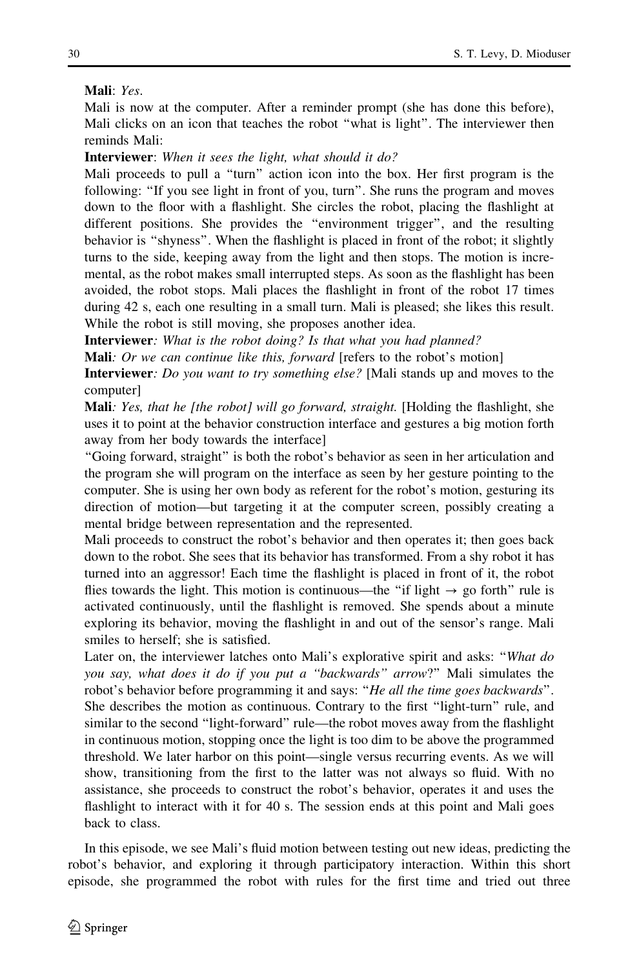# Mali: Yes.

Mali is now at the computer. After a reminder prompt (she has done this before), Mali clicks on an icon that teaches the robot ''what is light''. The interviewer then reminds Mali:

Interviewer: When it sees the light, what should it do?

Mali proceeds to pull a ''turn'' action icon into the box. Her first program is the following: ''If you see light in front of you, turn''. She runs the program and moves down to the floor with a flashlight. She circles the robot, placing the flashlight at different positions. She provides the ''environment trigger'', and the resulting behavior is ''shyness''. When the flashlight is placed in front of the robot; it slightly turns to the side, keeping away from the light and then stops. The motion is incremental, as the robot makes small interrupted steps. As soon as the flashlight has been avoided, the robot stops. Mali places the flashlight in front of the robot 17 times during 42 s, each one resulting in a small turn. Mali is pleased; she likes this result. While the robot is still moving, she proposes another idea.

Interviewer: What is the robot doing? Is that what you had planned?

Mali: Or we can continue like this, forward [refers to the robot's motion]

Interviewer: *Do you want to try something else*? [Mali stands up and moves to the computer]

Mali: Yes, that he [the robot] will go forward, straight. [Holding the flashlight, she uses it to point at the behavior construction interface and gestures a big motion forth away from her body towards the interface]

"Going forward, straight" is both the robot's behavior as seen in her articulation and the program she will program on the interface as seen by her gesture pointing to the computer. She is using her own body as referent for the robot's motion, gesturing its direction of motion—but targeting it at the computer screen, possibly creating a mental bridge between representation and the represented.

Mali proceeds to construct the robot's behavior and then operates it; then goes back down to the robot. She sees that its behavior has transformed. From a shy robot it has turned into an aggressor! Each time the flashlight is placed in front of it, the robot flies towards the light. This motion is continuous—the "if light  $\rightarrow$  go forth" rule is activated continuously, until the flashlight is removed. She spends about a minute exploring its behavior, moving the flashlight in and out of the sensor's range. Mali smiles to herself; she is satisfied.

Later on, the interviewer latches onto Mali's explorative spirit and asks: "What do you say, what does it do if you put a ''backwards'' arrow?'' Mali simulates the robot's behavior before programming it and says: "He all the time goes backwards". She describes the motion as continuous. Contrary to the first ''light-turn'' rule, and similar to the second ''light-forward'' rule—the robot moves away from the flashlight in continuous motion, stopping once the light is too dim to be above the programmed threshold. We later harbor on this point—single versus recurring events. As we will show, transitioning from the first to the latter was not always so fluid. With no assistance, she proceeds to construct the robot's behavior, operates it and uses the flashlight to interact with it for 40 s. The session ends at this point and Mali goes back to class.

In this episode, we see Mali's fluid motion between testing out new ideas, predicting the robot's behavior, and exploring it through participatory interaction. Within this short episode, she programmed the robot with rules for the first time and tried out three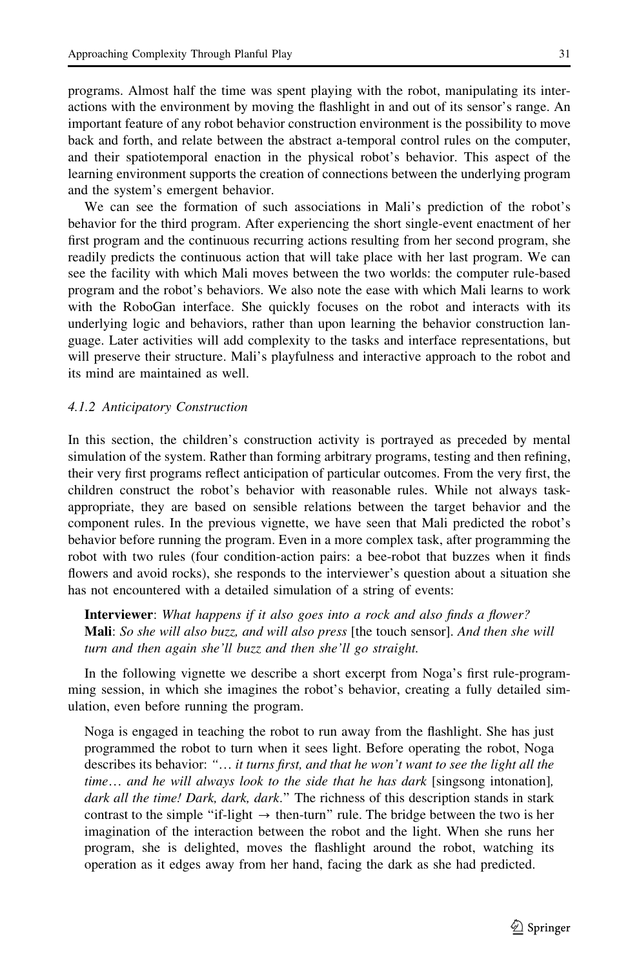programs. Almost half the time was spent playing with the robot, manipulating its interactions with the environment by moving the flashlight in and out of its sensor's range. An important feature of any robot behavior construction environment is the possibility to move back and forth, and relate between the abstract a-temporal control rules on the computer, and their spatiotemporal enaction in the physical robot's behavior. This aspect of the learning environment supports the creation of connections between the underlying program and the system's emergent behavior.

We can see the formation of such associations in Mali's prediction of the robot's behavior for the third program. After experiencing the short single-event enactment of her first program and the continuous recurring actions resulting from her second program, she readily predicts the continuous action that will take place with her last program. We can see the facility with which Mali moves between the two worlds: the computer rule-based program and the robot's behaviors. We also note the ease with which Mali learns to work with the RoboGan interface. She quickly focuses on the robot and interacts with its underlying logic and behaviors, rather than upon learning the behavior construction language. Later activities will add complexity to the tasks and interface representations, but will preserve their structure. Mali's playfulness and interactive approach to the robot and its mind are maintained as well.

# 4.1.2 Anticipatory Construction

In this section, the children's construction activity is portrayed as preceded by mental simulation of the system. Rather than forming arbitrary programs, testing and then refining, their very first programs reflect anticipation of particular outcomes. From the very first, the children construct the robot's behavior with reasonable rules. While not always taskappropriate, they are based on sensible relations between the target behavior and the component rules. In the previous vignette, we have seen that Mali predicted the robot's behavior before running the program. Even in a more complex task, after programming the robot with two rules (four condition-action pairs: a bee-robot that buzzes when it finds flowers and avoid rocks), she responds to the interviewer's question about a situation she has not encountered with a detailed simulation of a string of events:

Interviewer: What happens if it also goes into a rock and also finds a flower? Mali: So she will also buzz, and will also press [the touch sensor]. And then she will turn and then again she'll buzz and then she'll go straight.

In the following vignette we describe a short excerpt from Noga's first rule-programming session, in which she imagines the robot's behavior, creating a fully detailed simulation, even before running the program.

Noga is engaged in teaching the robot to run away from the flashlight. She has just programmed the robot to turn when it sees light. Before operating the robot, Noga describes its behavior: "... it turns first, and that he won't want to see the light all the time… and he will always look to the side that he has dark [singsong intonation], dark all the time! Dark, dark, dark." The richness of this description stands in stark contrast to the simple "if-light  $\rightarrow$  then-turn" rule. The bridge between the two is her imagination of the interaction between the robot and the light. When she runs her program, she is delighted, moves the flashlight around the robot, watching its operation as it edges away from her hand, facing the dark as she had predicted.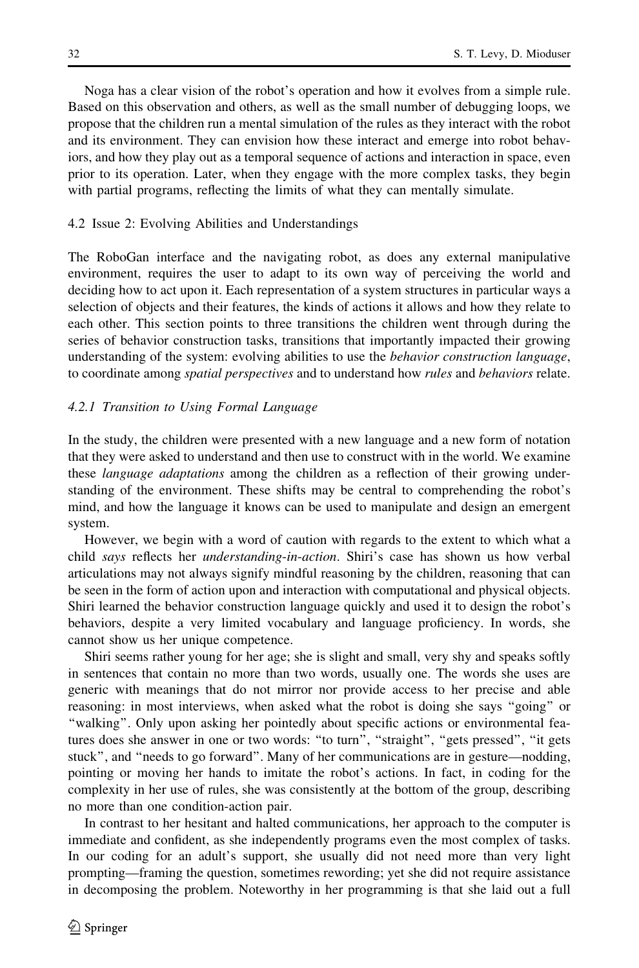Noga has a clear vision of the robot's operation and how it evolves from a simple rule. Based on this observation and others, as well as the small number of debugging loops, we propose that the children run a mental simulation of the rules as they interact with the robot and its environment. They can envision how these interact and emerge into robot behaviors, and how they play out as a temporal sequence of actions and interaction in space, even prior to its operation. Later, when they engage with the more complex tasks, they begin with partial programs, reflecting the limits of what they can mentally simulate.

## 4.2 Issue 2: Evolving Abilities and Understandings

The RoboGan interface and the navigating robot, as does any external manipulative environment, requires the user to adapt to its own way of perceiving the world and deciding how to act upon it. Each representation of a system structures in particular ways a selection of objects and their features, the kinds of actions it allows and how they relate to each other. This section points to three transitions the children went through during the series of behavior construction tasks, transitions that importantly impacted their growing understanding of the system: evolving abilities to use the *behavior construction language*, to coordinate among spatial perspectives and to understand how rules and behaviors relate.

# 4.2.1 Transition to Using Formal Language

In the study, the children were presented with a new language and a new form of notation that they were asked to understand and then use to construct with in the world. We examine these *language adaptations* among the children as a reflection of their growing understanding of the environment. These shifts may be central to comprehending the robot's mind, and how the language it knows can be used to manipulate and design an emergent system.

However, we begin with a word of caution with regards to the extent to which what a child says reflects her understanding-in-action. Shiri's case has shown us how verbal articulations may not always signify mindful reasoning by the children, reasoning that can be seen in the form of action upon and interaction with computational and physical objects. Shiri learned the behavior construction language quickly and used it to design the robot's behaviors, despite a very limited vocabulary and language proficiency. In words, she cannot show us her unique competence.

Shiri seems rather young for her age; she is slight and small, very shy and speaks softly in sentences that contain no more than two words, usually one. The words she uses are generic with meanings that do not mirror nor provide access to her precise and able reasoning: in most interviews, when asked what the robot is doing she says ''going'' or ''walking''. Only upon asking her pointedly about specific actions or environmental features does she answer in one or two words: "to turn", "straight", "gets pressed", "it gets stuck'', and ''needs to go forward''. Many of her communications are in gesture—nodding, pointing or moving her hands to imitate the robot's actions. In fact, in coding for the complexity in her use of rules, she was consistently at the bottom of the group, describing no more than one condition-action pair.

In contrast to her hesitant and halted communications, her approach to the computer is immediate and confident, as she independently programs even the most complex of tasks. In our coding for an adult's support, she usually did not need more than very light prompting—framing the question, sometimes rewording; yet she did not require assistance in decomposing the problem. Noteworthy in her programming is that she laid out a full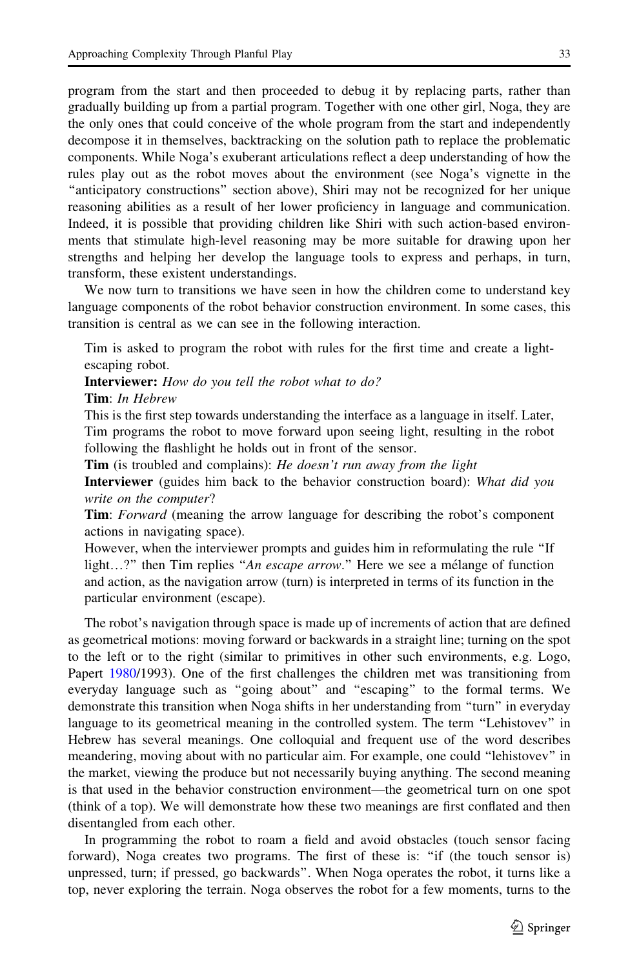program from the start and then proceeded to debug it by replacing parts, rather than gradually building up from a partial program. Together with one other girl, Noga, they are the only ones that could conceive of the whole program from the start and independently decompose it in themselves, backtracking on the solution path to replace the problematic components. While Noga's exuberant articulations reflect a deep understanding of how the rules play out as the robot moves about the environment (see Noga's vignette in the ''anticipatory constructions'' section above), Shiri may not be recognized for her unique reasoning abilities as a result of her lower proficiency in language and communication. Indeed, it is possible that providing children like Shiri with such action-based environments that stimulate high-level reasoning may be more suitable for drawing upon her strengths and helping her develop the language tools to express and perhaps, in turn, transform, these existent understandings.

We now turn to transitions we have seen in how the children come to understand key language components of the robot behavior construction environment. In some cases, this transition is central as we can see in the following interaction.

Tim is asked to program the robot with rules for the first time and create a lightescaping robot.

Interviewer: How do you tell the robot what to do?

Tim: In Hebrew

This is the first step towards understanding the interface as a language in itself. Later, Tim programs the robot to move forward upon seeing light, resulting in the robot following the flashlight he holds out in front of the sensor.

**Tim** (is troubled and complains): He doesn't run away from the light

Interviewer (guides him back to the behavior construction board): What did you write on the computer?

Tim: Forward (meaning the arrow language for describing the robot's component actions in navigating space).

However, when the interviewer prompts and guides him in reformulating the rule ''If light...?" then Tim replies "An escape arrow." Here we see a mélange of function and action, as the navigation arrow (turn) is interpreted in terms of its function in the particular environment (escape).

The robot's navigation through space is made up of increments of action that are defined as geometrical motions: moving forward or backwards in a straight line; turning on the spot to the left or to the right (similar to primitives in other such environments, e.g. Logo, Papert [1980/](#page-22-0)1993). One of the first challenges the children met was transitioning from everyday language such as ''going about'' and ''escaping'' to the formal terms. We demonstrate this transition when Noga shifts in her understanding from ''turn'' in everyday language to its geometrical meaning in the controlled system. The term ''Lehistovev'' in Hebrew has several meanings. One colloquial and frequent use of the word describes meandering, moving about with no particular aim. For example, one could ''lehistovev'' in the market, viewing the produce but not necessarily buying anything. The second meaning is that used in the behavior construction environment—the geometrical turn on one spot (think of a top). We will demonstrate how these two meanings are first conflated and then disentangled from each other.

In programming the robot to roam a field and avoid obstacles (touch sensor facing forward), Noga creates two programs. The first of these is: "if (the touch sensor is) unpressed, turn; if pressed, go backwards''. When Noga operates the robot, it turns like a top, never exploring the terrain. Noga observes the robot for a few moments, turns to the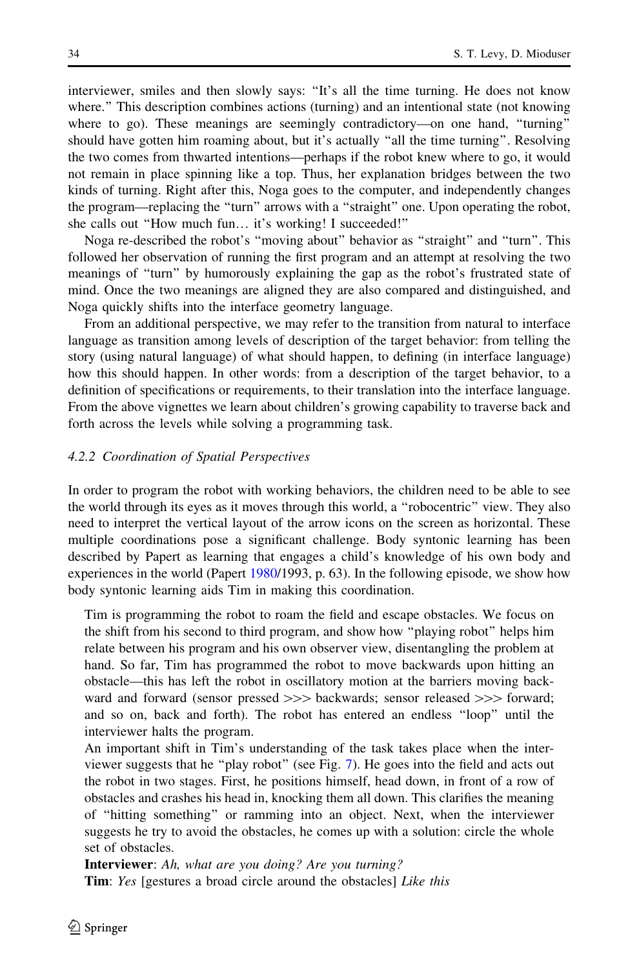interviewer, smiles and then slowly says: ''It's all the time turning. He does not know where.'' This description combines actions (turning) and an intentional state (not knowing where to go). These meanings are seemingly contradictory—on one hand, "turning" should have gotten him roaming about, but it's actually ''all the time turning''. Resolving the two comes from thwarted intentions—perhaps if the robot knew where to go, it would not remain in place spinning like a top. Thus, her explanation bridges between the two kinds of turning. Right after this, Noga goes to the computer, and independently changes the program—replacing the ''turn'' arrows with a ''straight'' one. Upon operating the robot, she calls out ''How much fun… it's working! I succeeded!''

Noga re-described the robot's ''moving about'' behavior as ''straight'' and ''turn''. This followed her observation of running the first program and an attempt at resolving the two meanings of ''turn'' by humorously explaining the gap as the robot's frustrated state of mind. Once the two meanings are aligned they are also compared and distinguished, and Noga quickly shifts into the interface geometry language.

From an additional perspective, we may refer to the transition from natural to interface language as transition among levels of description of the target behavior: from telling the story (using natural language) of what should happen, to defining (in interface language) how this should happen. In other words: from a description of the target behavior, to a definition of specifications or requirements, to their translation into the interface language. From the above vignettes we learn about children's growing capability to traverse back and forth across the levels while solving a programming task.

#### 4.2.2 Coordination of Spatial Perspectives

In order to program the robot with working behaviors, the children need to be able to see the world through its eyes as it moves through this world, a ''robocentric'' view. They also need to interpret the vertical layout of the arrow icons on the screen as horizontal. These multiple coordinations pose a significant challenge. Body syntonic learning has been described by Papert as learning that engages a child's knowledge of his own body and experiences in the world (Papert [1980/](#page-22-0)1993, p. 63). In the following episode, we show how body syntonic learning aids Tim in making this coordination.

Tim is programming the robot to roam the field and escape obstacles. We focus on the shift from his second to third program, and show how ''playing robot'' helps him relate between his program and his own observer view, disentangling the problem at hand. So far, Tim has programmed the robot to move backwards upon hitting an obstacle—this has left the robot in oscillatory motion at the barriers moving backward and forward (sensor pressed  $\gg$  backwards; sensor released  $\gg$  forward; and so on, back and forth). The robot has entered an endless ''loop'' until the interviewer halts the program.

An important shift in Tim's understanding of the task takes place when the interviewer suggests that he ''play robot'' (see Fig. [7](#page-14-0)). He goes into the field and acts out the robot in two stages. First, he positions himself, head down, in front of a row of obstacles and crashes his head in, knocking them all down. This clarifies the meaning of ''hitting something'' or ramming into an object. Next, when the interviewer suggests he try to avoid the obstacles, he comes up with a solution: circle the whole set of obstacles.

Interviewer: Ah, what are you doing? Are you turning? **Tim:** Yes [gestures a broad circle around the obstacles] *Like this*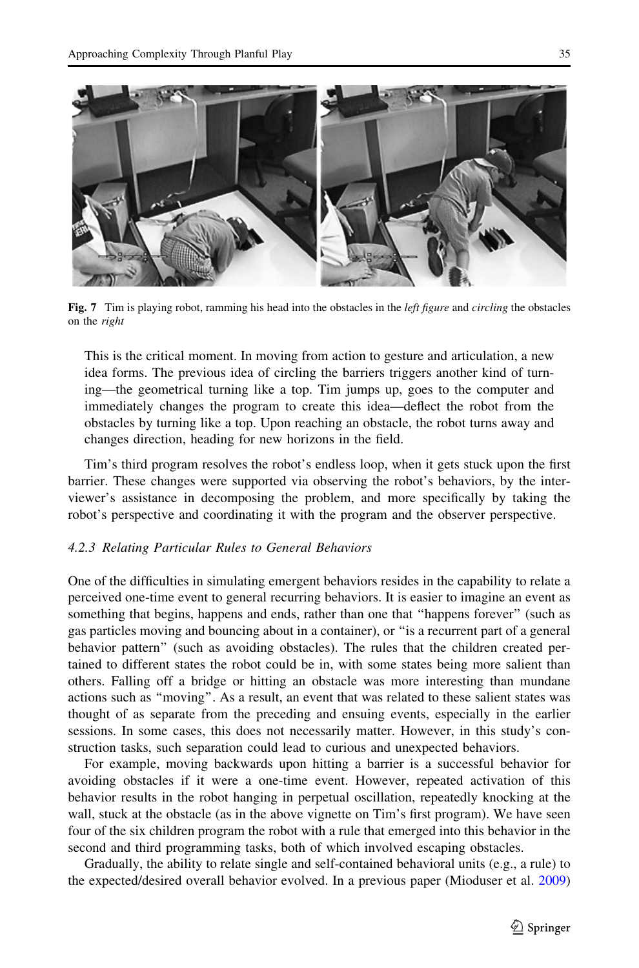<span id="page-14-0"></span>

Fig. 7 Tim is playing robot, ramming his head into the obstacles in the *left figure* and *circling* the obstacles on the right

This is the critical moment. In moving from action to gesture and articulation, a new idea forms. The previous idea of circling the barriers triggers another kind of turning—the geometrical turning like a top. Tim jumps up, goes to the computer and immediately changes the program to create this idea—deflect the robot from the obstacles by turning like a top. Upon reaching an obstacle, the robot turns away and changes direction, heading for new horizons in the field.

Tim's third program resolves the robot's endless loop, when it gets stuck upon the first barrier. These changes were supported via observing the robot's behaviors, by the interviewer's assistance in decomposing the problem, and more specifically by taking the robot's perspective and coordinating it with the program and the observer perspective.

# 4.2.3 Relating Particular Rules to General Behaviors

One of the difficulties in simulating emergent behaviors resides in the capability to relate a perceived one-time event to general recurring behaviors. It is easier to imagine an event as something that begins, happens and ends, rather than one that ''happens forever'' (such as gas particles moving and bouncing about in a container), or ''is a recurrent part of a general behavior pattern'' (such as avoiding obstacles). The rules that the children created pertained to different states the robot could be in, with some states being more salient than others. Falling off a bridge or hitting an obstacle was more interesting than mundane actions such as ''moving''. As a result, an event that was related to these salient states was thought of as separate from the preceding and ensuing events, especially in the earlier sessions. In some cases, this does not necessarily matter. However, in this study's construction tasks, such separation could lead to curious and unexpected behaviors.

For example, moving backwards upon hitting a barrier is a successful behavior for avoiding obstacles if it were a one-time event. However, repeated activation of this behavior results in the robot hanging in perpetual oscillation, repeatedly knocking at the wall, stuck at the obstacle (as in the above vignette on Tim's first program). We have seen four of the six children program the robot with a rule that emerged into this behavior in the second and third programming tasks, both of which involved escaping obstacles.

Gradually, the ability to relate single and self-contained behavioral units (e.g., a rule) to the expected/desired overall behavior evolved. In a previous paper (Mioduser et al. [2009](#page-22-0))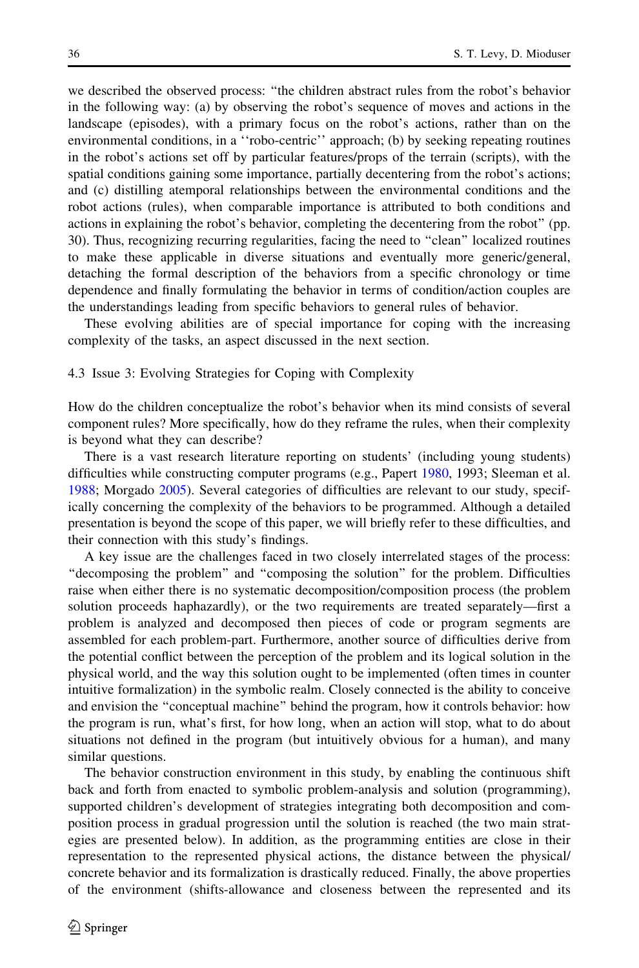we described the observed process: ''the children abstract rules from the robot's behavior in the following way: (a) by observing the robot's sequence of moves and actions in the landscape (episodes), with a primary focus on the robot's actions, rather than on the environmental conditions, in a ''robo-centric'' approach; (b) by seeking repeating routines in the robot's actions set off by particular features/props of the terrain (scripts), with the spatial conditions gaining some importance, partially decentering from the robot's actions; and (c) distilling atemporal relationships between the environmental conditions and the robot actions (rules), when comparable importance is attributed to both conditions and actions in explaining the robot's behavior, completing the decentering from the robot'' (pp. 30). Thus, recognizing recurring regularities, facing the need to ''clean'' localized routines to make these applicable in diverse situations and eventually more generic/general, detaching the formal description of the behaviors from a specific chronology or time dependence and finally formulating the behavior in terms of condition/action couples are the understandings leading from specific behaviors to general rules of behavior.

These evolving abilities are of special importance for coping with the increasing complexity of the tasks, an aspect discussed in the next section.

#### 4.3 Issue 3: Evolving Strategies for Coping with Complexity

How do the children conceptualize the robot's behavior when its mind consists of several component rules? More specifically, how do they reframe the rules, when their complexity is beyond what they can describe?

There is a vast research literature reporting on students' (including young students) difficulties while constructing computer programs (e.g., Papert [1980,](#page-22-0) 1993; Sleeman et al. [1988;](#page-22-0) Morgado [2005](#page-22-0)). Several categories of difficulties are relevant to our study, specifically concerning the complexity of the behaviors to be programmed. Although a detailed presentation is beyond the scope of this paper, we will briefly refer to these difficulties, and their connection with this study's findings.

A key issue are the challenges faced in two closely interrelated stages of the process: ''decomposing the problem'' and ''composing the solution'' for the problem. Difficulties raise when either there is no systematic decomposition/composition process (the problem solution proceeds haphazardly), or the two requirements are treated separately—first a problem is analyzed and decomposed then pieces of code or program segments are assembled for each problem-part. Furthermore, another source of difficulties derive from the potential conflict between the perception of the problem and its logical solution in the physical world, and the way this solution ought to be implemented (often times in counter intuitive formalization) in the symbolic realm. Closely connected is the ability to conceive and envision the ''conceptual machine'' behind the program, how it controls behavior: how the program is run, what's first, for how long, when an action will stop, what to do about situations not defined in the program (but intuitively obvious for a human), and many similar questions.

The behavior construction environment in this study, by enabling the continuous shift back and forth from enacted to symbolic problem-analysis and solution (programming), supported children's development of strategies integrating both decomposition and composition process in gradual progression until the solution is reached (the two main strategies are presented below). In addition, as the programming entities are close in their representation to the represented physical actions, the distance between the physical/ concrete behavior and its formalization is drastically reduced. Finally, the above properties of the environment (shifts-allowance and closeness between the represented and its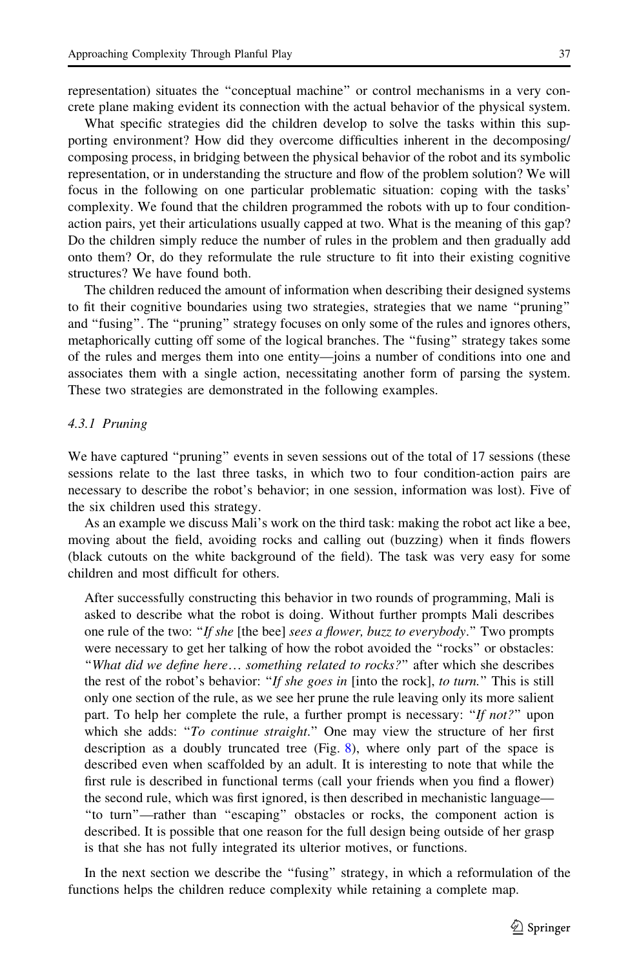representation) situates the ''conceptual machine'' or control mechanisms in a very concrete plane making evident its connection with the actual behavior of the physical system.

What specific strategies did the children develop to solve the tasks within this supporting environment? How did they overcome difficulties inherent in the decomposing/ composing process, in bridging between the physical behavior of the robot and its symbolic representation, or in understanding the structure and flow of the problem solution? We will focus in the following on one particular problematic situation: coping with the tasks' complexity. We found that the children programmed the robots with up to four conditionaction pairs, yet their articulations usually capped at two. What is the meaning of this gap? Do the children simply reduce the number of rules in the problem and then gradually add onto them? Or, do they reformulate the rule structure to fit into their existing cognitive structures? We have found both.

The children reduced the amount of information when describing their designed systems to fit their cognitive boundaries using two strategies, strategies that we name ''pruning'' and ''fusing''. The ''pruning'' strategy focuses on only some of the rules and ignores others, metaphorically cutting off some of the logical branches. The ''fusing'' strategy takes some of the rules and merges them into one entity—joins a number of conditions into one and associates them with a single action, necessitating another form of parsing the system. These two strategies are demonstrated in the following examples.

## 4.3.1 Pruning

We have captured "pruning" events in seven sessions out of the total of 17 sessions (these sessions relate to the last three tasks, in which two to four condition-action pairs are necessary to describe the robot's behavior; in one session, information was lost). Five of the six children used this strategy.

As an example we discuss Mali's work on the third task: making the robot act like a bee, moving about the field, avoiding rocks and calling out (buzzing) when it finds flowers (black cutouts on the white background of the field). The task was very easy for some children and most difficult for others.

After successfully constructing this behavior in two rounds of programming, Mali is asked to describe what the robot is doing. Without further prompts Mali describes one rule of the two: "If she [the bee] sees a flower, buzz to everybody." Two prompts were necessary to get her talking of how the robot avoided the ''rocks'' or obstacles: ''What did we define here… something related to rocks?'' after which she describes the rest of the robot's behavior: "If she goes in [into the rock], to turn." This is still only one section of the rule, as we see her prune the rule leaving only its more salient part. To help her complete the rule, a further prompt is necessary: "If not?" upon which she adds: "To continue straight." One may view the structure of her first description as a doubly truncated tree (Fig. [8\)](#page-17-0), where only part of the space is described even when scaffolded by an adult. It is interesting to note that while the first rule is described in functional terms (call your friends when you find a flower) the second rule, which was first ignored, is then described in mechanistic language— ''to turn''—rather than ''escaping'' obstacles or rocks, the component action is described. It is possible that one reason for the full design being outside of her grasp is that she has not fully integrated its ulterior motives, or functions.

In the next section we describe the ''fusing'' strategy, in which a reformulation of the functions helps the children reduce complexity while retaining a complete map.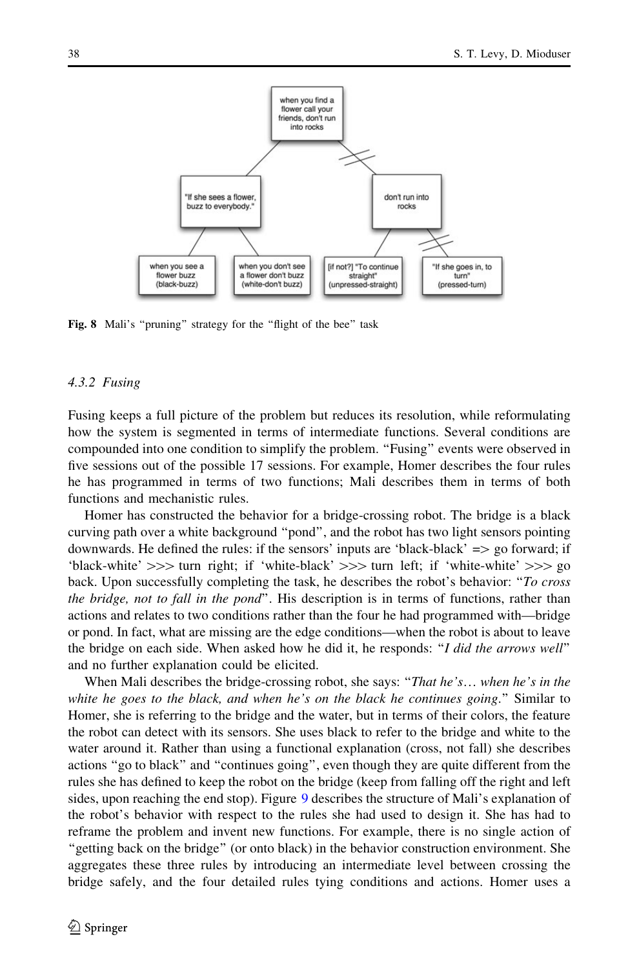<span id="page-17-0"></span>

Fig. 8 Mali's "pruning" strategy for the "flight of the bee" task

# 4.3.2 Fusing

Fusing keeps a full picture of the problem but reduces its resolution, while reformulating how the system is segmented in terms of intermediate functions. Several conditions are compounded into one condition to simplify the problem. ''Fusing'' events were observed in five sessions out of the possible 17 sessions. For example, Homer describes the four rules he has programmed in terms of two functions; Mali describes them in terms of both functions and mechanistic rules.

Homer has constructed the behavior for a bridge-crossing robot. The bridge is a black curving path over a white background ''pond'', and the robot has two light sensors pointing downwards. He defined the rules: if the sensors' inputs are 'black-black'  $\equiv$   $\geq$  go forward; if 'black-white'  $>>$  turn right; if 'white-black'  $>>$  turn left; if 'white-white'  $>>$  go back. Upon successfully completing the task, he describes the robot's behavior: "To cross the bridge, not to fall in the pond". His description is in terms of functions, rather than actions and relates to two conditions rather than the four he had programmed with—bridge or pond. In fact, what are missing are the edge conditions—when the robot is about to leave the bridge on each side. When asked how he did it, he responds: "I did the arrows well" and no further explanation could be elicited.

When Mali describes the bridge-crossing robot, she says: "That he's... when he's in the white he goes to the black, and when he's on the black he continues going.'' Similar to Homer, she is referring to the bridge and the water, but in terms of their colors, the feature the robot can detect with its sensors. She uses black to refer to the bridge and white to the water around it. Rather than using a functional explanation (cross, not fall) she describes actions ''go to black'' and ''continues going'', even though they are quite different from the rules she has defined to keep the robot on the bridge (keep from falling off the right and left sides, upon reaching the end stop). Figure [9](#page-18-0) describes the structure of Mali's explanation of the robot's behavior with respect to the rules she had used to design it. She has had to reframe the problem and invent new functions. For example, there is no single action of ''getting back on the bridge'' (or onto black) in the behavior construction environment. She aggregates these three rules by introducing an intermediate level between crossing the bridge safely, and the four detailed rules tying conditions and actions. Homer uses a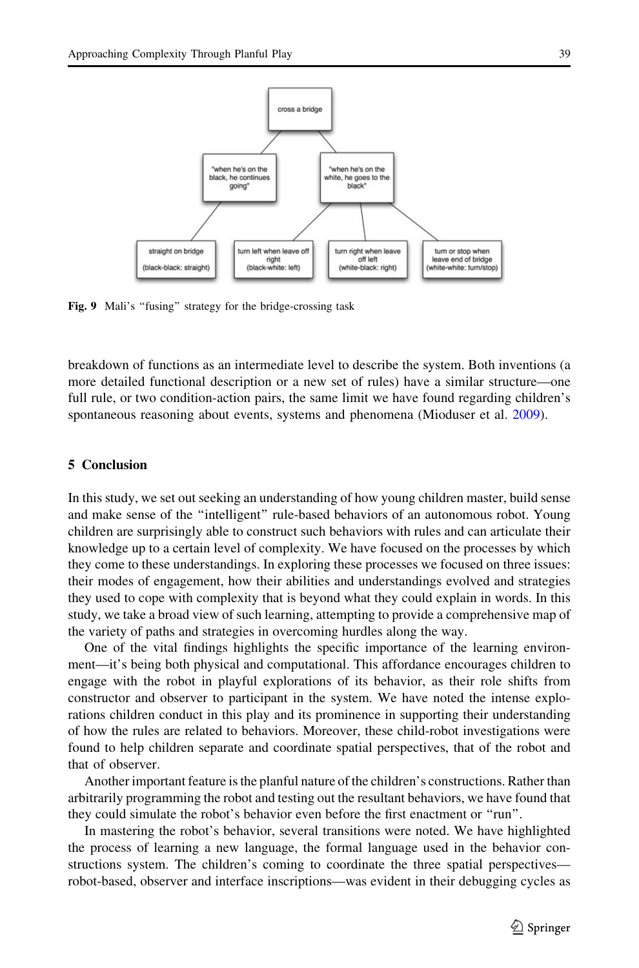<span id="page-18-0"></span>

Fig. 9 Mali's "fusing" strategy for the bridge-crossing task

breakdown of functions as an intermediate level to describe the system. Both inventions (a more detailed functional description or a new set of rules) have a similar structure—one full rule, or two condition-action pairs, the same limit we have found regarding children's spontaneous reasoning about events, systems and phenomena (Mioduser et al. [2009\)](#page-22-0).

#### 5 Conclusion

In this study, we set out seeking an understanding of how young children master, build sense and make sense of the ''intelligent'' rule-based behaviors of an autonomous robot. Young children are surprisingly able to construct such behaviors with rules and can articulate their knowledge up to a certain level of complexity. We have focused on the processes by which they come to these understandings. In exploring these processes we focused on three issues: their modes of engagement, how their abilities and understandings evolved and strategies they used to cope with complexity that is beyond what they could explain in words. In this study, we take a broad view of such learning, attempting to provide a comprehensive map of the variety of paths and strategies in overcoming hurdles along the way.

One of the vital findings highlights the specific importance of the learning environment—it's being both physical and computational. This affordance encourages children to engage with the robot in playful explorations of its behavior, as their role shifts from constructor and observer to participant in the system. We have noted the intense explorations children conduct in this play and its prominence in supporting their understanding of how the rules are related to behaviors. Moreover, these child-robot investigations were found to help children separate and coordinate spatial perspectives, that of the robot and that of observer.

Another important feature is the planful nature of the children's constructions. Rather than arbitrarily programming the robot and testing out the resultant behaviors, we have found that they could simulate the robot's behavior even before the first enactment or ''run''.

In mastering the robot's behavior, several transitions were noted. We have highlighted the process of learning a new language, the formal language used in the behavior constructions system. The children's coming to coordinate the three spatial perspectives robot-based, observer and interface inscriptions—was evident in their debugging cycles as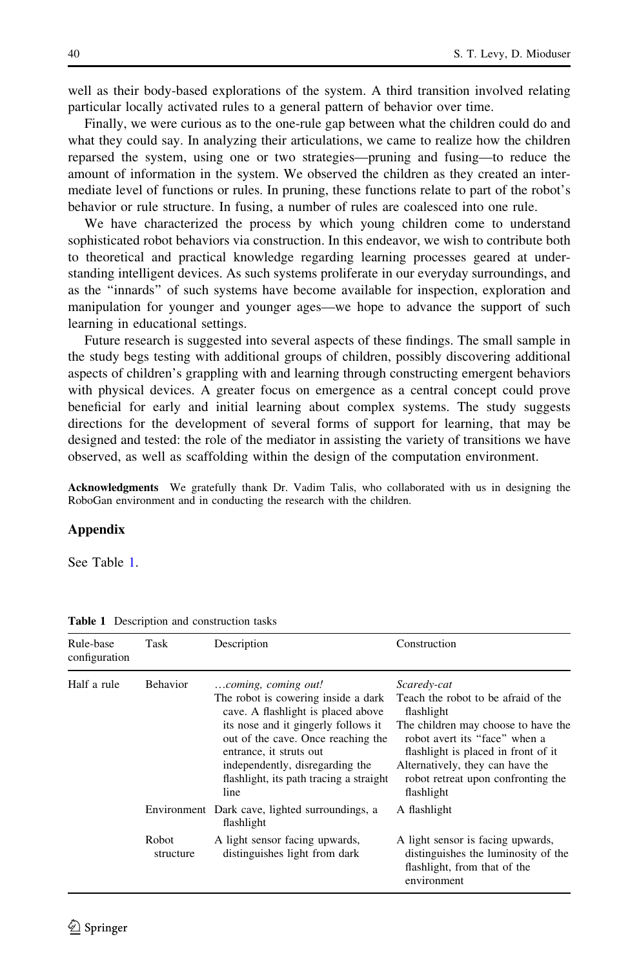<span id="page-19-0"></span>well as their body-based explorations of the system. A third transition involved relating particular locally activated rules to a general pattern of behavior over time.

Finally, we were curious as to the one-rule gap between what the children could do and what they could say. In analyzing their articulations, we came to realize how the children reparsed the system, using one or two strategies—pruning and fusing—to reduce the amount of information in the system. We observed the children as they created an intermediate level of functions or rules. In pruning, these functions relate to part of the robot's behavior or rule structure. In fusing, a number of rules are coalesced into one rule.

We have characterized the process by which young children come to understand sophisticated robot behaviors via construction. In this endeavor, we wish to contribute both to theoretical and practical knowledge regarding learning processes geared at understanding intelligent devices. As such systems proliferate in our everyday surroundings, and as the ''innards'' of such systems have become available for inspection, exploration and manipulation for younger and younger ages—we hope to advance the support of such learning in educational settings.

Future research is suggested into several aspects of these findings. The small sample in the study begs testing with additional groups of children, possibly discovering additional aspects of children's grappling with and learning through constructing emergent behaviors with physical devices. A greater focus on emergence as a central concept could prove beneficial for early and initial learning about complex systems. The study suggests directions for the development of several forms of support for learning, that may be designed and tested: the role of the mediator in assisting the variety of transitions we have observed, as well as scaffolding within the design of the computation environment.

Acknowledgments We gratefully thank Dr. Vadim Talis, who collaborated with us in designing the RoboGan environment and in conducting the research with the children.

#### Appendix

See Table 1.

| Rule-base<br>configuration | Task               | Description                                                                                                                                                                                                                                                                                    | Construction                                                                                                                                                                                                                                                             |
|----------------------------|--------------------|------------------------------------------------------------------------------------------------------------------------------------------------------------------------------------------------------------------------------------------------------------------------------------------------|--------------------------------------------------------------------------------------------------------------------------------------------------------------------------------------------------------------------------------------------------------------------------|
| Half a rule                | <b>Behavior</b>    | coming, coming out!<br>The robot is cowering inside a dark<br>cave. A flashlight is placed above<br>its nose and it gingerly follows it<br>out of the cave. Once reaching the<br>entrance, it struts out<br>independently, disregarding the<br>flashlight, its path tracing a straight<br>line | Scaredy-cat<br>Teach the robot to be afraid of the<br>flashlight<br>The children may choose to have the<br>robot avert its "face" when a<br>flashlight is placed in front of it.<br>Alternatively, they can have the<br>robot retreat upon confronting the<br>flashlight |
|                            |                    | Environment Dark cave, lighted surroundings, a<br>flashlight                                                                                                                                                                                                                                   | A flashlight                                                                                                                                                                                                                                                             |
|                            | Robot<br>structure | A light sensor facing upwards,<br>distinguishes light from dark                                                                                                                                                                                                                                | A light sensor is facing upwards,<br>distinguishes the luminosity of the<br>flashlight, from that of the<br>environment                                                                                                                                                  |

Table 1 Description and construction tasks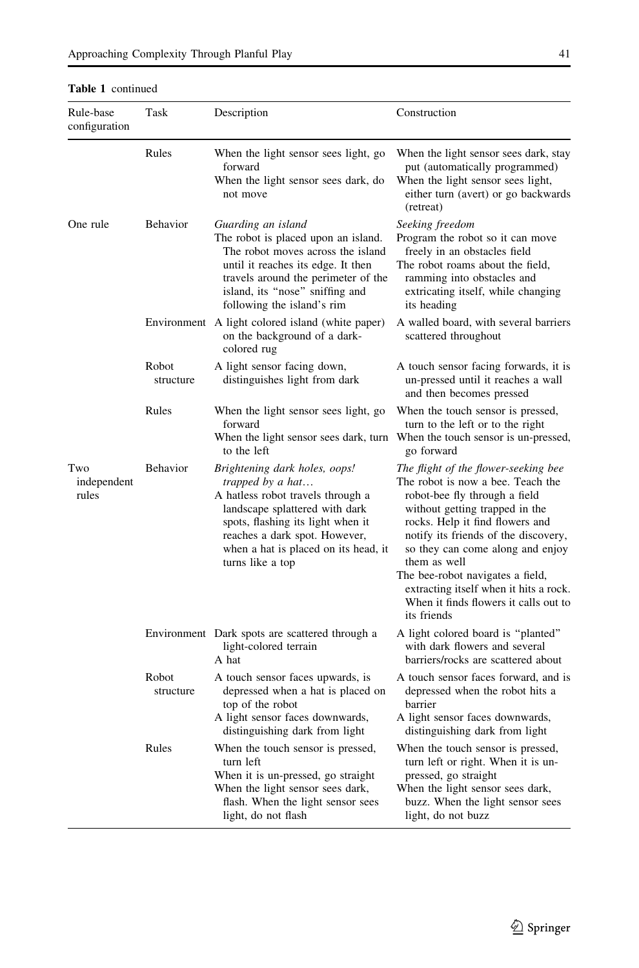| Rule-base<br>configuration  | Task               | Description                                                                                                                                                                                                                                                | Construction                                                                                                                                                                                                                                                                                                                                              |
|-----------------------------|--------------------|------------------------------------------------------------------------------------------------------------------------------------------------------------------------------------------------------------------------------------------------------------|-----------------------------------------------------------------------------------------------------------------------------------------------------------------------------------------------------------------------------------------------------------------------------------------------------------------------------------------------------------|
|                             | Rules              | When the light sensor sees light, go<br>forward<br>When the light sensor sees dark, do<br>not move                                                                                                                                                         | When the light sensor sees dark, stay<br>put (automatically programmed)<br>When the light sensor sees light,<br>either turn (avert) or go backwards<br>(retreat)                                                                                                                                                                                          |
| One rule                    | Behavior           | Guarding an island<br>The robot is placed upon an island.<br>The robot moves across the island<br>until it reaches its edge. It then<br>travels around the perimeter of the<br>island, its "nose" sniffing and<br>following the island's rim               | Seeking freedom<br>Program the robot so it can move<br>freely in an obstacles field<br>The robot roams about the field,<br>ramming into obstacles and<br>extricating itself, while changing<br>its heading                                                                                                                                                |
|                             |                    | Environment A light colored island (white paper)<br>on the background of a dark-<br>colored rug                                                                                                                                                            | A walled board, with several barriers<br>scattered throughout                                                                                                                                                                                                                                                                                             |
|                             | Robot<br>structure | A light sensor facing down,<br>distinguishes light from dark                                                                                                                                                                                               | A touch sensor facing forwards, it is<br>un-pressed until it reaches a wall<br>and then becomes pressed                                                                                                                                                                                                                                                   |
|                             | Rules              | When the light sensor sees light, go<br>forward<br>to the left                                                                                                                                                                                             | When the touch sensor is pressed,<br>turn to the left or to the right<br>When the light sensor sees dark, turn When the touch sensor is un-pressed,<br>go forward                                                                                                                                                                                         |
| Two<br>independent<br>rules | Behavior           | Brightening dark holes, oops!<br>trapped by a hat<br>A hatless robot travels through a<br>landscape splattered with dark<br>spots, flashing its light when it<br>reaches a dark spot. However,<br>when a hat is placed on its head, it<br>turns like a top | The flight of the flower-seeking bee<br>The robot is now a bee. Teach the<br>robot-bee fly through a field<br>without getting trapped in the<br>rocks. Help it find flowers and<br>notify its friends of the discovery,<br>so they can come along and enjoy<br>them as well<br>The bee-robot navigates a field,<br>extracting itself when it hits a rock. |
|                             |                    |                                                                                                                                                                                                                                                            | When it finds flowers it calls out to<br>its friends                                                                                                                                                                                                                                                                                                      |
|                             |                    | Environment Dark spots are scattered through a<br>light-colored terrain<br>A hat                                                                                                                                                                           | A light colored board is "planted"<br>with dark flowers and several<br>barriers/rocks are scattered about                                                                                                                                                                                                                                                 |
|                             | Robot<br>structure | A touch sensor faces upwards, is<br>depressed when a hat is placed on<br>top of the robot<br>A light sensor faces downwards,<br>distinguishing dark from light                                                                                             | A touch sensor faces forward, and is<br>depressed when the robot hits a<br>barrier<br>A light sensor faces downwards,<br>distinguishing dark from light                                                                                                                                                                                                   |
|                             | Rules              | When the touch sensor is pressed,<br>turn left<br>When it is un-pressed, go straight<br>When the light sensor sees dark,<br>flash. When the light sensor sees<br>light, do not flash                                                                       | When the touch sensor is pressed,<br>turn left or right. When it is un-<br>pressed, go straight<br>When the light sensor sees dark,<br>buzz. When the light sensor sees<br>light, do not buzz                                                                                                                                                             |

# Table 1 continued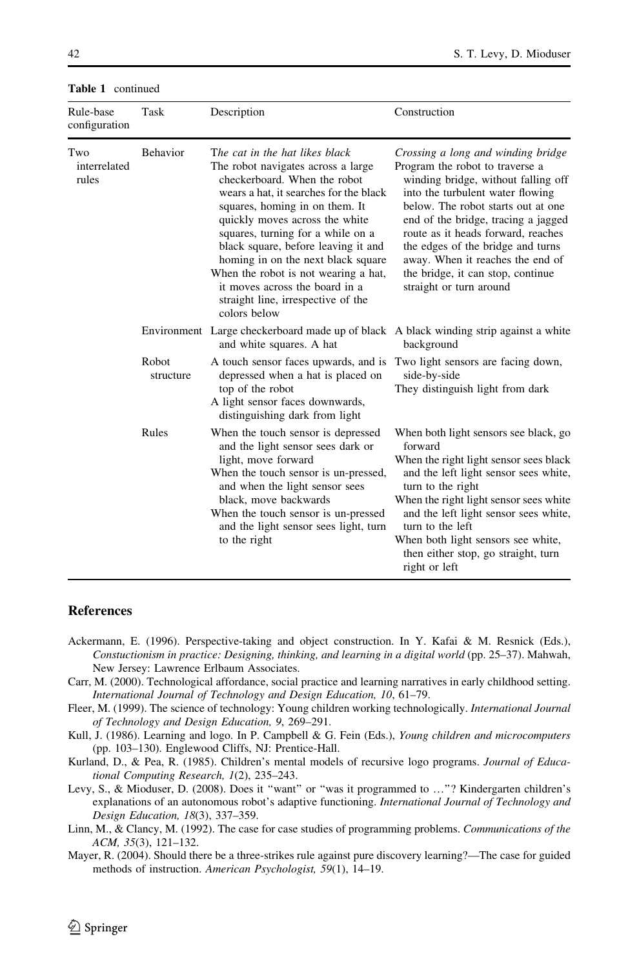| Rule-base<br>configuration   | Task               | Description                                                                                                                                                                                                                                                                                                                                                                                                                                                          | Construction                                                                                                                                                                                                                                                                                                                                                                                                 |
|------------------------------|--------------------|----------------------------------------------------------------------------------------------------------------------------------------------------------------------------------------------------------------------------------------------------------------------------------------------------------------------------------------------------------------------------------------------------------------------------------------------------------------------|--------------------------------------------------------------------------------------------------------------------------------------------------------------------------------------------------------------------------------------------------------------------------------------------------------------------------------------------------------------------------------------------------------------|
| Two<br>interrelated<br>rules | Behavior           | The cat in the hat likes black<br>The robot navigates across a large<br>checkerboard. When the robot<br>wears a hat, it searches for the black<br>squares, homing in on them. It<br>quickly moves across the white<br>squares, turning for a while on a<br>black square, before leaving it and<br>homing in on the next black square<br>When the robot is not wearing a hat,<br>it moves across the board in a<br>straight line, irrespective of the<br>colors below | Crossing a long and winding bridge<br>Program the robot to traverse a<br>winding bridge, without falling off<br>into the turbulent water flowing<br>below. The robot starts out at one<br>end of the bridge, tracing a jagged<br>route as it heads forward, reaches<br>the edges of the bridge and turns<br>away. When it reaches the end of<br>the bridge, it can stop, continue<br>straight or turn around |
|                              |                    | Environment Large checkerboard made up of black A black winding strip against a white<br>and white squares. A hat                                                                                                                                                                                                                                                                                                                                                    | background                                                                                                                                                                                                                                                                                                                                                                                                   |
|                              | Robot<br>structure | A touch sensor faces upwards, and is<br>depressed when a hat is placed on<br>top of the robot<br>A light sensor faces downwards,<br>distinguishing dark from light                                                                                                                                                                                                                                                                                                   | Two light sensors are facing down,<br>side-by-side<br>They distinguish light from dark                                                                                                                                                                                                                                                                                                                       |
|                              | Rules              | When the touch sensor is depressed<br>and the light sensor sees dark or<br>light, move forward<br>When the touch sensor is un-pressed,<br>and when the light sensor sees<br>black, move backwards<br>When the touch sensor is un-pressed<br>and the light sensor sees light, turn<br>to the right                                                                                                                                                                    | When both light sensors see black, go<br>forward<br>When the right light sensor sees black<br>and the left light sensor sees white,<br>turn to the right<br>When the right light sensor sees white<br>and the left light sensor sees white,<br>turn to the left<br>When both light sensors see white,<br>then either stop, go straight, turn<br>right or left                                                |

<span id="page-21-0"></span>Table 1 continued

# **References**

- Ackermann, E. (1996). Perspective-taking and object construction. In Y. Kafai & M. Resnick (Eds.), Constuctionism in practice: Designing, thinking, and learning in a digital world (pp. 25–37). Mahwah, New Jersey: Lawrence Erlbaum Associates.
- Carr, M. (2000). Technological affordance, social practice and learning narratives in early childhood setting. International Journal of Technology and Design Education, 10, 61–79.
- Fleer, M. (1999). The science of technology: Young children working technologically. International Journal of Technology and Design Education, 9, 269–291.
- Kull, J. (1986). Learning and logo. In P. Campbell & G. Fein (Eds.), Young children and microcomputers (pp. 103–130). Englewood Cliffs, NJ: Prentice-Hall.
- Kurland, D., & Pea, R. (1985). Children's mental models of recursive logo programs. Journal of Educational Computing Research, 1(2), 235–243.
- Levy, S., & Mioduser, D. (2008). Does it "want" or "was it programmed to ..."? Kindergarten children's explanations of an autonomous robot's adaptive functioning. International Journal of Technology and Design Education, 18(3), 337–359.
- Linn, M., & Clancy, M. (1992). The case for case studies of programming problems. Communications of the ACM, 35(3), 121–132.
- Mayer, R. (2004). Should there be a three-strikes rule against pure discovery learning?—The case for guided methods of instruction. American Psychologist, 59(1), 14–19.